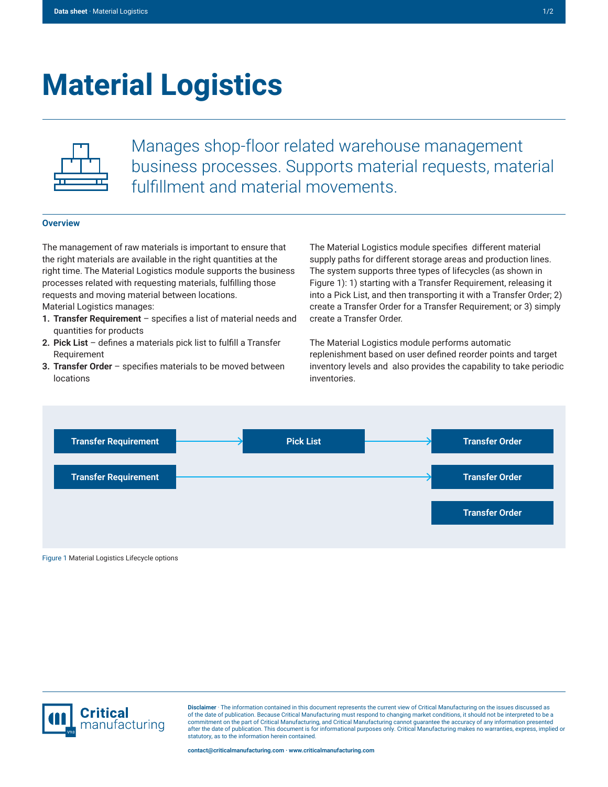## **Material Logistics**



Manages shop-floor related warehouse management business processes. Supports material requests, material fulfillment and material movements.

## **Overview**

The management of raw materials is important to ensure that the right materials are available in the right quantities at the right time. The Material Logistics module supports the business processes related with requesting materials, fulfilling those requests and moving material between locations. Material Logistics manages:

- **1. Transfer Requirement** specifies a list of material needs and quantities for products
- **2. Pick List** defines a materials pick list to fulfill a Transfer **Requirement**
- **3. Transfer Order**  specifies materials to be moved between locations

The Material Logistics module specifies different material supply paths for different storage areas and production lines. The system supports three types of lifecycles (as shown in Figure 1): 1) starting with a Transfer Requirement, releasing it into a Pick List, and then transporting it with a Transfer Order; 2) create a Transfer Order for a Transfer Requirement; or 3) simply create a Transfer Order.

The Material Logistics module performs automatic replenishment based on user defined reorder points and target inventory levels and also provides the capability to take periodic inventories.



Figure 1 Material Logistics Lifecycle options



**Disclaimer** · The information contained in this document represents the current view of Critical Manufacturing on the issues discussed as of the date of publication. Because Critical Manufacturing must respond to changing market conditions, it should not be interpreted to be a commitment on the part of Critical Manufacturing, and Critical Manufacturing cannot guarantee the accuracy of any information presented after the date of publication. This document is for informational purposes only. Critical Manufacturing makes no warranties, express, implied or statutory, as to the information herein contained.